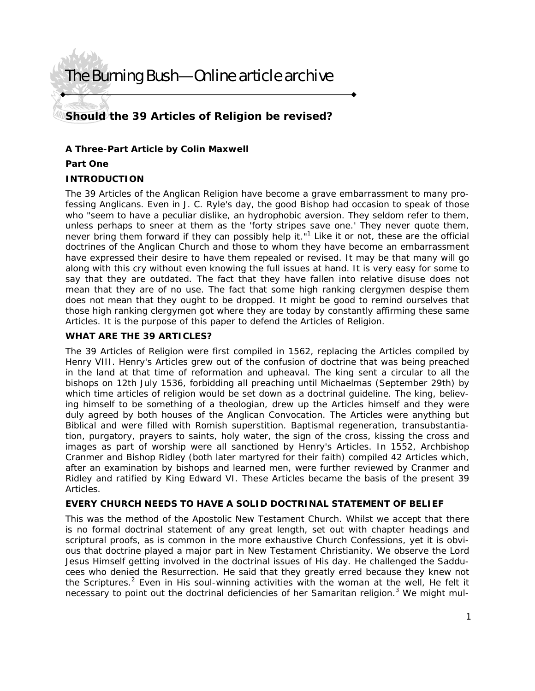# The Burning Bush—Online article archive

### **Should the 39 Articles of Religion be revised?**

#### **A Three-Part Article by Colin Maxwell**

#### **Part One**

#### **INTRODUCTION**

The 39 Articles of the Anglican Religion have become a grave embarrassment to many professing Anglicans. Even in J. C. Ryle's day, the good Bishop had occasion to speak of those who "seem to have a peculiar dislike, an hydrophobic aversion. They seldom refer to them, unless perhaps to sneer at them as the 'forty stripes save one.' They never quote them, never bring them forward if they can possibly help it."<sup>1</sup> Like it or not, these are the official doctrines of the Anglican Church and those to whom they have become an embarrassment have expressed their desire to have them repealed or revised. It may be that many will go along with this cry without even knowing the full issues at hand. It is very easy for some to say that they are outdated. The fact that they have fallen into relative disuse does not mean that they are of no use. The fact that some high ranking clergymen despise them does not mean that they ought to be dropped. It might be good to remind ourselves that those high ranking clergymen got where they are today by constantly affirming these same Articles. It is the purpose of this paper to defend the Articles of Religion.

#### **WHAT ARE THE 39 ARTICLES?**

The 39 Articles of Religion were first compiled in 1562, replacing the Articles compiled by Henry VIII. Henry's Articles grew out of the confusion of doctrine that was being preached in the land at that time of reformation and upheaval. The king sent a circular to all the bishops on 12th July 1536, forbidding all preaching until Michaelmas (September 29th) by which time articles of religion would be set down as a doctrinal guideline. The king, believing himself to be something of a theologian, drew up the Articles himself and they were duly agreed by both houses of the Anglican Convocation. The Articles were anything but Biblical and were filled with Romish superstition. Baptismal regeneration, transubstantiation, purgatory, prayers to saints, holy water, the sign of the cross, kissing the cross and images as part of worship were all sanctioned by Henry's Articles. In 1552, Archbishop Cranmer and Bishop Ridley (both later martyred for their faith) compiled 42 Articles which, after an examination by bishops and learned men, were further reviewed by Cranmer and Ridley and ratified by King Edward VI. These Articles became the basis of the present 39 Articles.

#### **EVERY CHURCH NEEDS TO HAVE A SOLID DOCTRINAL STATEMENT OF BELIEF**

This was the method of the Apostolic New Testament Church. Whilst we accept that there is no formal doctrinal statement of any great length, set out with chapter headings and scriptural proofs, as is common in the more exhaustive Church Confessions, yet it is obvious that doctrine played a major part in New Testament Christianity. We observe the Lord Jesus Himself getting involved in the doctrinal issues of His day. He challenged the Sadducees who denied the Resurrection. He said that they greatly erred because they knew not the Scriptures.<sup>2</sup> Even in His soul-winning activities with the woman at the well, He felt it necessary to point out the doctrinal deficiencies of her Samaritan religion.<sup>3</sup> We might mul-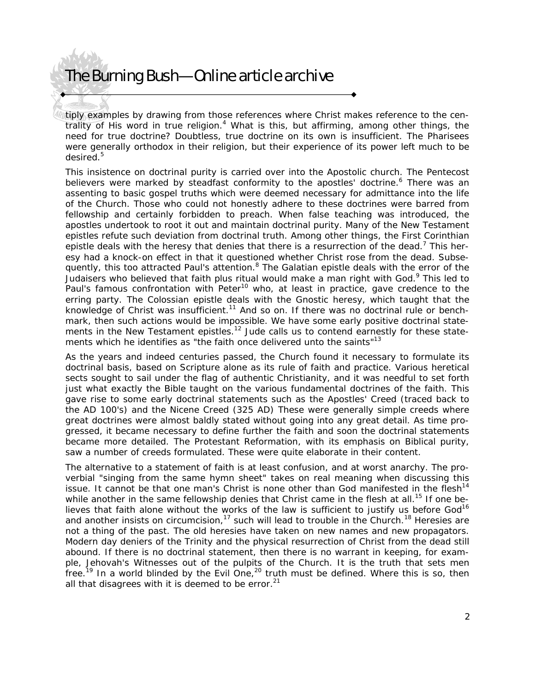# The Burning Bush—Online article archive

tiply examples by drawing from those references where Christ makes reference to the centrality of His word in true religion.<sup>4</sup> What is this, but affirming, among other things, the need for true doctrine? Doubtless, true doctrine on its own is insufficient. The Pharisees were generally orthodox in their religion, but their experience of its power left much to be desired.<sup>5</sup>

This insistence on doctrinal purity is carried over into the Apostolic church. The Pentecost believers were marked by steadfast conformity to the apostles' doctrine.<sup>6</sup> There was an assenting to basic gospel truths which were deemed necessary for admittance into the life of the Church. Those who could not honestly adhere to these doctrines were barred from fellowship and certainly forbidden to preach. When false teaching was introduced, the apostles undertook to root it out and maintain doctrinal purity. Many of the New Testament epistles refute such deviation from doctrinal truth. Among other things, the First Corinthian epistle deals with the heresy that denies that there is a resurrection of the dead.<sup>7</sup> This heresy had a knock-on effect in that it questioned whether Christ rose from the dead. Subsequently, this too attracted Paul's attention.<sup>8</sup> The Galatian epistle deals with the error of the Judaisers who believed that faith plus ritual would make a man right with God.<sup>9</sup> This led to Paul's famous confrontation with Peter<sup>10</sup> who, at least in practice, gave credence to the erring party. The Colossian epistle deals with the Gnostic heresy, which taught that the knowledge of Christ was insufficient.<sup>11</sup> And so on. If there was no doctrinal rule or benchmark, then such actions would be impossible. We have some early positive doctrinal statements in the New Testament epistles.<sup>12</sup> Jude calls us to contend earnestly for these statements which he identifies as "the faith once delivered unto the saints"<sup>13</sup>

As the years and indeed centuries passed, the Church found it necessary to formulate its doctrinal basis, based on Scripture alone as its rule of faith and practice. Various heretical sects sought to sail under the flag of authentic Christianity, and it was needful to set forth just what exactly the Bible taught on the various fundamental doctrines of the faith. This gave rise to some early doctrinal statements such as the Apostles' Creed (traced back to the AD 100's) and the Nicene Creed (325 AD) These were generally simple creeds where great doctrines were almost baldly stated without going into any great detail. As time progressed, it became necessary to define further the faith and soon the doctrinal statements became more detailed. The Protestant Reformation, with its emphasis on Biblical purity, saw a number of creeds formulated. These were quite elaborate in their content.

The alternative to a statement of faith is at least confusion, and at worst anarchy. The proverbial "singing from the same hymn sheet" takes on real meaning when discussing this issue. It cannot be that one man's Christ is none other than God manifested in the flesh<sup>14</sup> while another in the same fellowship denies that Christ came in the flesh at all.<sup>15</sup> If one believes that faith alone without the works of the law is sufficient to justify us before God<sup>16</sup> and another insists on circumcision, $17$  such will lead to trouble in the Church.<sup>18</sup> Heresies are not a thing of the past. The old heresies have taken on new names and new propagators. Modern day deniers of the Trinity and the physical resurrection of Christ from the dead still abound. If there is no doctrinal statement, then there is no warrant in keeping, for example, Jehovah's Witnesses out of the pulpits of the Church. It is the truth that sets men free.<sup>19</sup> In a world blinded by the Evil One,<sup>20</sup> truth must be defined. Where this is so, then all that disagrees with it is deemed to be error. $21$